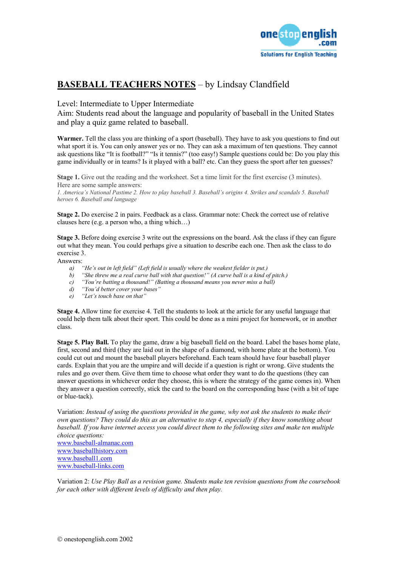

## **BASEBALL TEACHERS NOTES** – by Lindsay Clandfield

## Level: Intermediate to Upper Intermediate

Aim: Students read about the language and popularity of baseball in the United States and play a quiz game related to baseball.

**Warmer.** Tell the class you are thinking of a sport (baseball). They have to ask you questions to find out what sport it is. You can only answer yes or no. They can ask a maximum of ten questions. They cannot ask questions like "It is football?" "Is it tennis?" (too easy!) Sample questions could be: Do you play this game individually or in teams? Is it played with a ball? etc. Can they guess the sport after ten guesses?

**Stage 1.** Give out the reading and the worksheet. Set a time limit for the first exercise (3 minutes). Here are some sample answers:

*1. America's National Pastime 2. How to play baseball 3. Baseball's origins 4. Strikes and scandals 5. Baseball heroes 6. Baseball and language* 

**Stage 2.** Do exercise 2 in pairs. Feedback as a class. Grammar note: Check the correct use of relative clauses here (e.g. a person who, a thing which…)

**Stage 3.** Before doing exercise 3 write out the expressions on the board. Ask the class if they can figure out what they mean. You could perhaps give a situation to describe each one. Then ask the class to do exercise 3.

Answers:

- *a) "He's out in left field" (Left field is usually where the weakest fielder is put.)*
- *b) "She threw me a real curve ball with that question!" (A curve ball is a kind of pitch.)*
- *c) "You're batting a thousand!" (Batting a thousand means you never miss a ball)*
- *d) "You'd better cover your bases"*
- *e) "Let's touch base on that"*

**Stage 4.** Allow time for exercise 4. Tell the students to look at the article for any useful language that could help them talk about their sport. This could be done as a mini project for homework, or in another class.

**Stage 5. Play Ball.** To play the game, draw a big baseball field on the board. Label the bases home plate, first, second and third (they are laid out in the shape of a diamond, with home plate at the bottom). You could cut out and mount the baseball players beforehand. Each team should have four baseball player cards. Explain that you are the umpire and will decide if a question is right or wrong. Give students the rules and go over them. Give them time to choose what order they want to do the questions (they can answer questions in whichever order they choose, this is where the strategy of the game comes in). When they answer a question correctly, stick the card to the board on the corresponding base (with a bit of tape or blue-tack).

Variation: *Instead of using the questions provided in the game, why not ask the students to make their own questions? They could do this as an alternative to step 4, especially if they know something about*  baseball. If you have internet access you could direct them to the following sites and make ten multiple *choice questions:*  [www.baseball-almanac.com](http://www.baseball-almanac.com/)

[www.baseballhistory.com](http://www.baseballhistory.com/) [www.baseball1.com](http://www.baseball1.com/) [www.baseball-links.com](http://www.baseball-links.com/)

Variation 2: *Use Play Ball as a revision game. Students make ten revision questions from the coursebook for each other with different levels of difficulty and then play.*